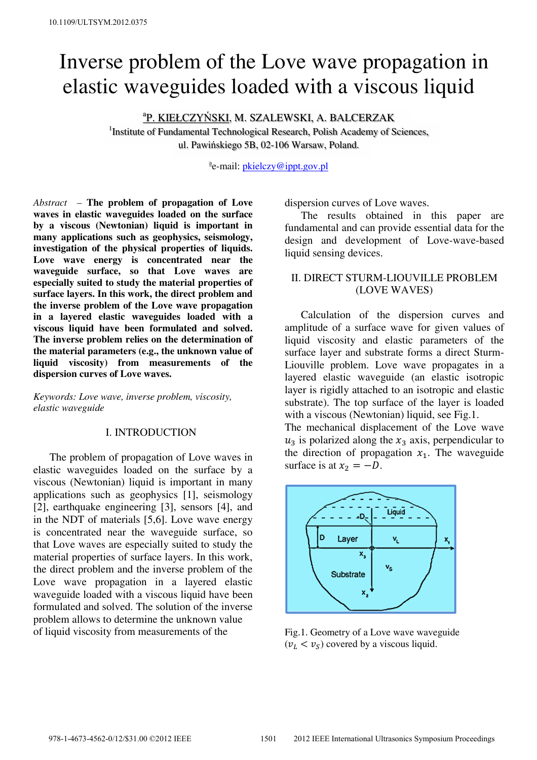# Inverse problem of the Love wave propagation in elastic waveguides loaded with a viscous liquid

# a P. KIEŁCZYŃSKI, M. SZALEWSKI, A. BALCERZAK

<sup>1</sup>Institute of Fundamental Technological Research, Polish Academy of Sciences, ul. Pawińskiego 5B, 02-106 Warsaw, Poland.

<sup>a</sup>e-mail: <u>pkielczy@ippt.gov.pl</u>

*Abstract –* **The problem of propagation of Love waves in elastic waveguides loaded on the surface by a viscous (Newtonian) liquid is important in many applications such as geophysics, seismology, investigation of the physical properties of liquids. Love wave energy is concentrated near the waveguide surface, so that Love waves are especially suited to study the material properties of surface layers. In this work, the direct problem and the inverse problem of the Love wave propagation in a layered elastic waveguides loaded with a viscous liquid have been formulated and solved. The inverse problem relies on the determination of the material parameters (e.g., the unknown value of liquid viscosity) from measurements of the dispersion curves of Love waves.** 

*Keywords: Love wave, inverse problem, viscosity, elastic waveguide* 

## I. INTRODUCTION

 The problem of propagation of Love waves in elastic waveguides loaded on the surface by a viscous (Newtonian) liquid is important in many applications such as geophysics [1], seismology [2], earthquake engineering [3], sensors [4], and in the NDT of materials [5,6]. Love wave energy is concentrated near the waveguide surface, so that Love waves are especially suited to study the material properties of surface layers. In this work, the direct problem and the inverse problem of the Love wave propagation in a layered elastic waveguide loaded with a viscous liquid have been formulated and solved. The solution of the inverse problem allows to determine the unknown value of liquid viscosity from measurements of the

dispersion curves of Love waves.

 The results obtained in this paper are fundamental and can provide essential data for the design and development of Love-wave-based liquid sensing devices.

## II. DIRECT STURM-LIOUVILLE PROBLEM (LOVE WAVES)

 Calculation of the dispersion curves and amplitude of a surface wave for given values of liquid viscosity and elastic parameters of the surface layer and substrate forms a direct Sturm-Liouville problem. Love wave propagates in a layered elastic waveguide (an elastic isotropic layer is rigidly attached to an isotropic and elastic substrate). The top surface of the layer is loaded with a viscous (Newtonian) liquid, see Fig.1.

The mechanical displacement of the Love wave  $u_3$  is polarized along the  $x_3$  axis, perpendicular to the direction of propagation  $x_1$ . The waveguide surface is at  $x_2 = -D$ .



Fig.1. Geometry of a Love wave waveguide  $(v_L < v_S)$  covered by a viscous liquid.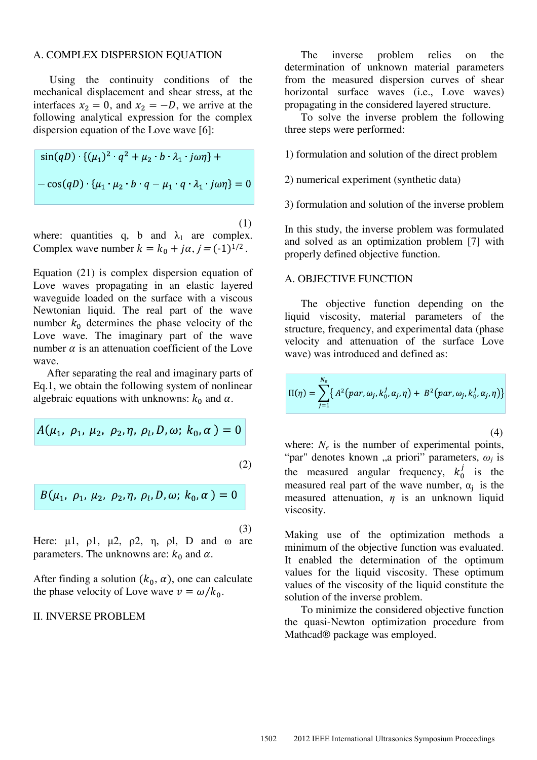#### A. COMPLEX DISPERSION EQUATION

 Using the continuity conditions of the mechanical displacement and shear stress, at the interfaces  $x_2 = 0$ , and  $x_2 = -D$ , we arrive at the following analytical expression for the complex dispersion equation of the Love wave [6]:

$$
\sin(qD) \cdot \{(\mu_1)^2 \cdot q^2 + \mu_2 \cdot b \cdot \lambda_1 \cdot j\omega\eta\} +
$$
  
-\cos(qD) \cdot \{\mu\_1 \cdot \mu\_2 \cdot b \cdot q - \mu\_1 \cdot q \cdot \lambda\_1 \cdot j\omega\eta\} = 0

(1)

where: quantities q, b and  $\lambda_1$  are complex. Complex wave number  $k = k_0 + j\alpha$ ,  $j = (-1)^{1/2}$ .

Equation (21) is complex dispersion equation of Love waves propagating in an elastic layered waveguide loaded on the surface with a viscous Newtonian liquid. The real part of the wave number  $k_0$  determines the phase velocity of the Love wave. The imaginary part of the wave number  $\alpha$  is an attenuation coefficient of the Love wave.

 After separating the real and imaginary parts of Eq.1, we obtain the following system of nonlinear algebraic equations with unknowns:  $k_0$  and  $\alpha$ .

$$
A(\mu_1, \, \rho_1, \, \mu_2, \, \rho_2, \eta, \, \rho_l, D, \omega; \, k_0, \alpha) = 0
$$
\n(2)

$$
B(\mu_1, \, \rho_1, \, \mu_2, \, \rho_2, \eta, \, \rho_l, D, \omega; \, k_0, \alpha) = 0
$$

(3)

Here:  $\mu$ 1,  $\rho$ 1,  $\mu$ 2,  $\rho$ 2,  $\eta$ ,  $\rho$ l, D and ω are parameters. The unknowns are:  $k_0$  and  $\alpha$ .

After finding a solution  $(k_0, \alpha)$ , one can calculate the phase velocity of Love wave  $v = \omega/k_0$ .

#### II. INVERSE PROBLEM

 The inverse problem relies on the determination of unknown material parameters from the measured dispersion curves of shear horizontal surface waves (i.e., Love waves) propagating in the considered layered structure.

 To solve the inverse problem the following three steps were performed:

- 1) formulation and solution of the direct problem
- 2) numerical experiment (synthetic data)
- 3) formulation and solution of the inverse problem

In this study, the inverse problem was formulated and solved as an optimization problem [7] with properly defined objective function.

#### A. OBJECTIVE FUNCTION

 The objective function depending on the liquid viscosity, material parameters of the structure, frequency, and experimental data (phase velocity and attenuation of the surface Love wave) was introduced and defined as:

$$
\Pi(\eta) = \sum_{j=1}^{N_e} \left\{ A^2 (par, \omega_j, k_0^j, \alpha_j, \eta) + B^2 (par, \omega_j, k_0^j, \alpha_j, \eta) \right\}
$$

(4)

where:  $N_e$  is the number of experimental points, "par" denotes known "a priori" parameters,  $\omega_j$  is the measured angular frequency,  $k_0^j$  is the measured real part of the wave number,  $\alpha_i$  is the measured attenuation, *η* is an unknown liquid viscosity.

Making use of the optimization methods a minimum of the objective function was evaluated. It enabled the determination of the optimum values for the liquid viscosity. These optimum values of the viscosity of the liquid constitute the solution of the inverse problem.

 To minimize the considered objective function the quasi-Newton optimization procedure from Mathcad® package was employed.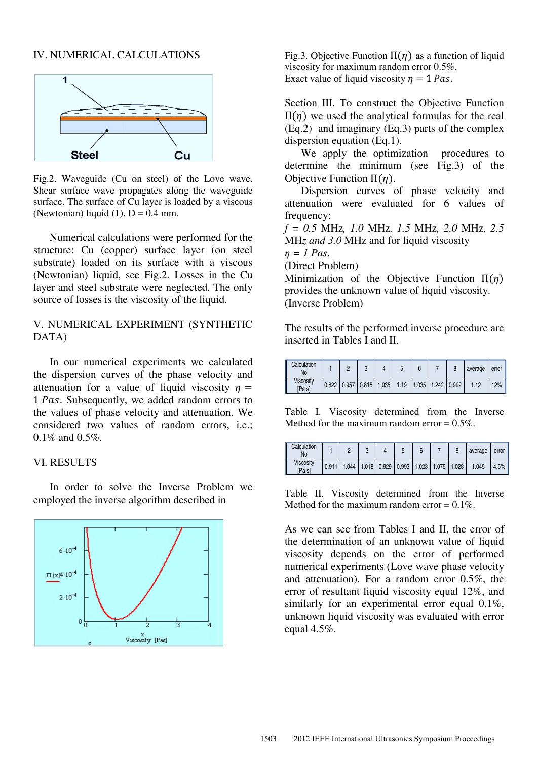# IV. NUMERICAL CALCULATIONS



Fig.2. Waveguide (Cu on steel) of the Love wave. Shear surface wave propagates along the waveguide surface. The surface of Cu layer is loaded by a viscous (Newtonian) liquid (1).  $D = 0.4$  mm.

 Numerical calculations were performed for the structure: Cu (copper) surface layer (on steel substrate) loaded on its surface with a viscous (Newtonian) liquid, see Fig.2. Losses in the Cu layer and steel substrate were neglected. The only source of losses is the viscosity of the liquid.

# V. NUMERICAL EXPERIMENT (SYNTHETIC DATA)

 In our numerical experiments we calculated the dispersion curves of the phase velocity and attenuation for a value of liquid viscosity  $\eta =$ 1 Pas. Subsequently, we added random errors to the values of phase velocity and attenuation. We considered two values of random errors, i.e.; 0.1% and 0.5%.

## VI. RESULTS

 In order to solve the Inverse Problem we employed the inverse algorithm described in



Fig.3. Objective Function  $\Pi(\eta)$  as a function of liquid viscosity for maximum random error 0.5%. Exact value of liquid viscosity  $\eta = 1$  Pas.

Section III. To construct the Objective Function  $\Pi(η)$  we used the analytical formulas for the real (Eq.2) and imaginary (Eq.3) parts of the complex dispersion equation (Eq.1).

 We apply the optimization procedures to determine the minimum (see Fig.3) of the Objective Function  $\Pi(n)$ .

 Dispersion curves of phase velocity and attenuation were evaluated for 6 values of frequency:

*f = 0.5* MHz*, 1.0* MHz*, 1.5* MHz*, 2.0* MHz*, 2.5*  MH*z and 3.0* MHz and for liquid viscosity

*η = 1 Pas*.

(Direct Problem)

Minimization of the Objective Function  $\Pi(\eta)$ provides the unknown value of liquid viscosity. (Inverse Problem)

The results of the performed inverse procedure are inserted in Tables I and II.

| Calculation<br>No   |       |       |                                                |  |  | average | error |
|---------------------|-------|-------|------------------------------------------------|--|--|---------|-------|
| Viscosity<br>[Pa s] | 0.822 | 0.957 | $0.815$   1.035   1.19   1.035   1.242   0.992 |  |  | 1.12    | 12%   |

Table I. Viscosity determined from the Inverse Method for the maximum random error  $= 0.5\%$ .

| Calculation<br>No   |       |  |                                                         |  |  | average | error |
|---------------------|-------|--|---------------------------------------------------------|--|--|---------|-------|
| Viscosity<br>[Pa s] | 0.911 |  | $1.044$   1.018   0.929   0.993   1.023   1.075   1.028 |  |  | 1.045   | 4.5%  |

Table II. Viscosity determined from the Inverse Method for the maximum random error  $= 0.1\%$ .

As we can see from Tables I and II, the error of the determination of an unknown value of liquid viscosity depends on the error of performed numerical experiments (Love wave phase velocity and attenuation). For a random error 0.5%, the error of resultant liquid viscosity equal 12%, and similarly for an experimental error equal 0.1%, unknown liquid viscosity was evaluated with error equal  $4.5\%$ .